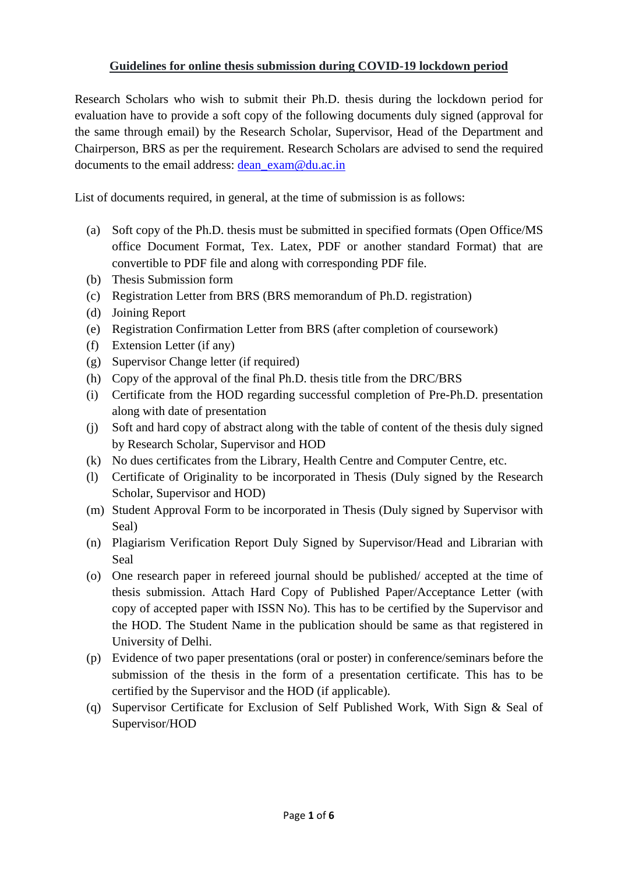## **Guidelines for online thesis submission during COVID-19 lockdown period**

Research Scholars who wish to submit their Ph.D. thesis during the lockdown period for evaluation have to provide a soft copy of the following documents duly signed (approval for the same through email) by the Research Scholar, Supervisor, Head of the Department and Chairperson, BRS as per the requirement. Research Scholars are advised to send the required documents to the email address: dean\_exam@du.ac.in

List of documents required, in general, at the time of submission is as follows:

- (a) Soft copy of the Ph.D. thesis must be submitted in specified formats (Open Office/MS office Document Format, Tex. Latex, PDF or another standard Format) that are convertible to PDF file and along with corresponding PDF file.
- (b) Thesis Submission form
- (c) Registration Letter from BRS (BRS memorandum of Ph.D. registration)
- (d) Joining Report
- (e) Registration Confirmation Letter from BRS (after completion of coursework)
- (f) Extension Letter (if any)
- (g) Supervisor Change letter (if required)
- (h) Copy of the approval of the final Ph.D. thesis title from the DRC/BRS
- (i) Certificate from the HOD regarding successful completion of Pre-Ph.D. presentation along with date of presentation
- (j) Soft and hard copy of abstract along with the table of content of the thesis duly signed by Research Scholar, Supervisor and HOD
- (k) No dues certificates from the Library, Health Centre and Computer Centre, etc.
- (l) Certificate of Originality to be incorporated in Thesis (Duly signed by the Research Scholar, Supervisor and HOD)
- (m) Student Approval Form to be incorporated in Thesis (Duly signed by Supervisor with Seal)
- (n) Plagiarism Verification Report Duly Signed by Supervisor/Head and Librarian with Seal
- (o) One research paper in refereed journal should be published/ accepted at the time of thesis submission. Attach Hard Copy of Published Paper/Acceptance Letter (with copy of accepted paper with ISSN No). This has to be certified by the Supervisor and the HOD. The Student Name in the publication should be same as that registered in University of Delhi.
- (p) Evidence of two paper presentations (oral or poster) in conference/seminars before the submission of the thesis in the form of a presentation certificate. This has to be certified by the Supervisor and the HOD (if applicable).
- (q) Supervisor Certificate for Exclusion of Self Published Work, With Sign & Seal of Supervisor/HOD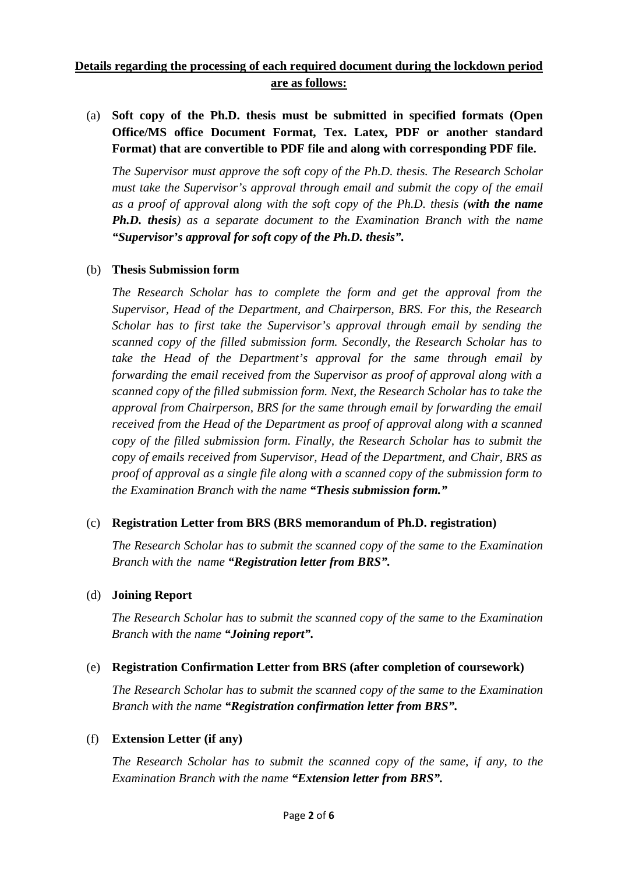# **Details regarding the processing of each required document during the lockdown period are as follows:**

(a) **Soft copy of the Ph.D. thesis must be submitted in specified formats (Open Office/MS office Document Format, Tex. Latex, PDF or another standard Format) that are convertible to PDF file and along with corresponding PDF file.** 

*The Supervisor must approve the soft copy of the Ph.D. thesis. The Research Scholar must take the Supervisor's approval through email and submit the copy of the email as a proof of approval along with the soft copy of the Ph.D. thesis (with the name Ph.D. thesis) as a separate document to the Examination Branch with the name "Supervisor's approval for soft copy of the Ph.D. thesis".*

#### (b) **Thesis Submission form**

*The Research Scholar has to complete the form and get the approval from the Supervisor, Head of the Department, and Chairperson, BRS. For this, the Research Scholar has to first take the Supervisor's approval through email by sending the scanned copy of the filled submission form. Secondly, the Research Scholar has to take the Head of the Department's approval for the same through email by forwarding the email received from the Supervisor as proof of approval along with a scanned copy of the filled submission form. Next, the Research Scholar has to take the approval from Chairperson, BRS for the same through email by forwarding the email received from the Head of the Department as proof of approval along with a scanned copy of the filled submission form. Finally, the Research Scholar has to submit the copy of emails received from Supervisor, Head of the Department, and Chair, BRS as proof of approval as a single file along with a scanned copy of the submission form to the Examination Branch with the name "Thesis submission form."*

### (c) **Registration Letter from BRS (BRS memorandum of Ph.D. registration)**

*The Research Scholar has to submit the scanned copy of the same to the Examination Branch with the name "Registration letter from BRS".* 

#### (d) **Joining Report**

*The Research Scholar has to submit the scanned copy of the same to the Examination Branch with the name "Joining report".* 

### (e) **Registration Confirmation Letter from BRS (after completion of coursework)**

*The Research Scholar has to submit the scanned copy of the same to the Examination Branch with the name "Registration confirmation letter from BRS".* 

### (f) **Extension Letter (if any)**

*The Research Scholar has to submit the scanned copy of the same, if any, to the Examination Branch with the name "Extension letter from BRS".*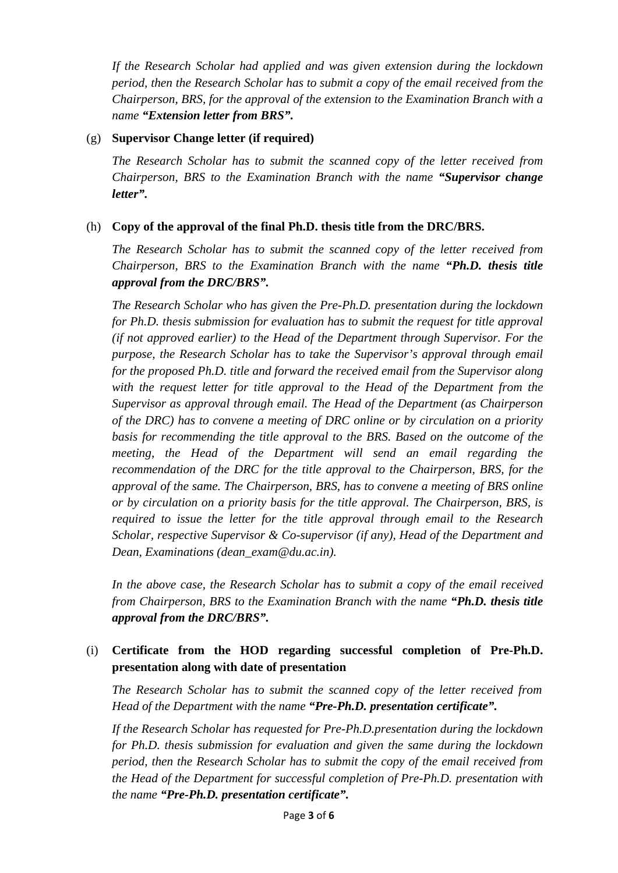*If the Research Scholar had applied and was given extension during the lockdown period, then the Research Scholar has to submit a copy of the email received from the Chairperson, BRS, for the approval of the extension to the Examination Branch with a name "Extension letter from BRS".* 

#### (g) **Supervisor Change letter (if required)**

*The Research Scholar has to submit the scanned copy of the letter received from Chairperson, BRS to the Examination Branch with the name "Supervisor change letter".*

### (h) **Copy of the approval of the final Ph.D. thesis title from the DRC/BRS.**

*The Research Scholar has to submit the scanned copy of the letter received from Chairperson, BRS to the Examination Branch with the name "Ph.D. thesis title approval from the DRC/BRS".*

*The Research Scholar who has given the Pre-Ph.D. presentation during the lockdown for Ph.D. thesis submission for evaluation has to submit the request for title approval (if not approved earlier) to the Head of the Department through Supervisor. For the purpose, the Research Scholar has to take the Supervisor's approval through email for the proposed Ph.D. title and forward the received email from the Supervisor along with the request letter for title approval to the Head of the Department from the Supervisor as approval through email. The Head of the Department (as Chairperson of the DRC) has to convene a meeting of DRC online or by circulation on a priority basis for recommending the title approval to the BRS. Based on the outcome of the meeting, the Head of the Department will send an email regarding the recommendation of the DRC for the title approval to the Chairperson, BRS, for the approval of the same. The Chairperson, BRS, has to convene a meeting of BRS online or by circulation on a priority basis for the title approval. The Chairperson, BRS, is required to issue the letter for the title approval through email to the Research Scholar, respective Supervisor & Co-supervisor (if any), Head of the Department and Dean, Examinations (dean\_exam@du.ac.in).* 

*In the above case, the Research Scholar has to submit a copy of the email received from Chairperson, BRS to the Examination Branch with the name "Ph.D. thesis title approval from the DRC/BRS".*

# (i) **Certificate from the HOD regarding successful completion of Pre-Ph.D. presentation along with date of presentation**

*The Research Scholar has to submit the scanned copy of the letter received from Head of the Department with the name "Pre-Ph.D. presentation certificate".*

*If the Research Scholar has requested for Pre-Ph.D.presentation during the lockdown for Ph.D. thesis submission for evaluation and given the same during the lockdown period, then the Research Scholar has to submit the copy of the email received from the Head of the Department for successful completion of Pre-Ph.D. presentation with the name "Pre-Ph.D. presentation certificate".*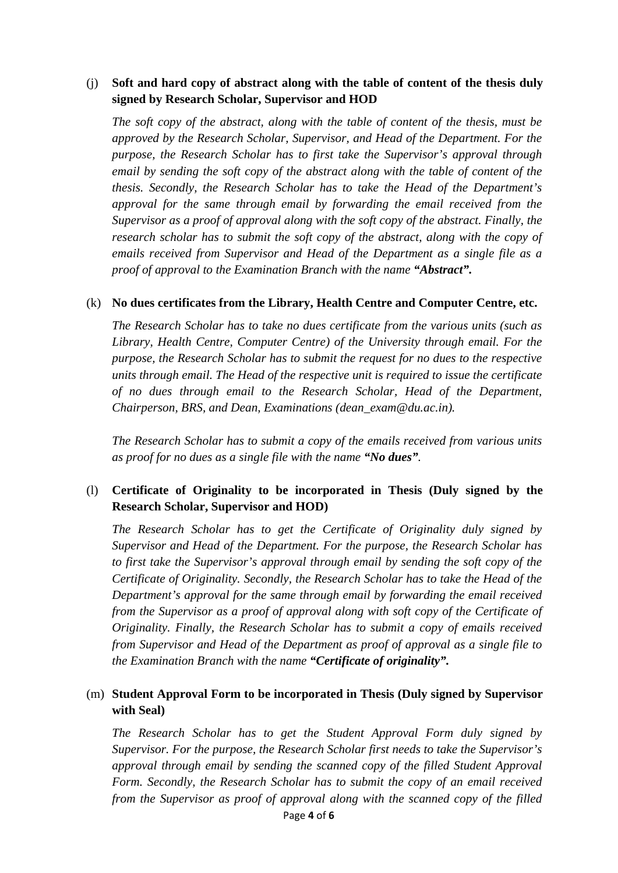## (j) **Soft and hard copy of abstract along with the table of content of the thesis duly signed by Research Scholar, Supervisor and HOD**

*The soft copy of the abstract, along with the table of content of the thesis, must be approved by the Research Scholar, Supervisor, and Head of the Department. For the purpose, the Research Scholar has to first take the Supervisor's approval through email by sending the soft copy of the abstract along with the table of content of the thesis. Secondly, the Research Scholar has to take the Head of the Department's approval for the same through email by forwarding the email received from the Supervisor as a proof of approval along with the soft copy of the abstract. Finally, the research scholar has to submit the soft copy of the abstract, along with the copy of emails received from Supervisor and Head of the Department as a single file as a proof of approval to the Examination Branch with the name "Abstract".*

### (k) **No dues certificates from the Library, Health Centre and Computer Centre, etc.**

*The Research Scholar has to take no dues certificate from the various units (such as Library, Health Centre, Computer Centre) of the University through email. For the purpose, the Research Scholar has to submit the request for no dues to the respective units through email. The Head of the respective unit is required to issue the certificate of no dues through email to the Research Scholar, Head of the Department, Chairperson, BRS, and Dean, Examinations (dean\_exam@du.ac.in).* 

*The Research Scholar has to submit a copy of the emails received from various units as proof for no dues as a single file with the name "No dues".* 

### (l) **Certificate of Originality to be incorporated in Thesis (Duly signed by the Research Scholar, Supervisor and HOD)**

*The Research Scholar has to get the Certificate of Originality duly signed by Supervisor and Head of the Department. For the purpose, the Research Scholar has to first take the Supervisor's approval through email by sending the soft copy of the Certificate of Originality. Secondly, the Research Scholar has to take the Head of the Department's approval for the same through email by forwarding the email received from the Supervisor as a proof of approval along with soft copy of the Certificate of Originality. Finally, the Research Scholar has to submit a copy of emails received from Supervisor and Head of the Department as proof of approval as a single file to the Examination Branch with the name "Certificate of originality".*

### (m) **Student Approval Form to be incorporated in Thesis (Duly signed by Supervisor with Seal)**

*The Research Scholar has to get the Student Approval Form duly signed by Supervisor. For the purpose, the Research Scholar first needs to take the Supervisor's approval through email by sending the scanned copy of the filled Student Approval Form. Secondly, the Research Scholar has to submit the copy of an email received from the Supervisor as proof of approval along with the scanned copy of the filled*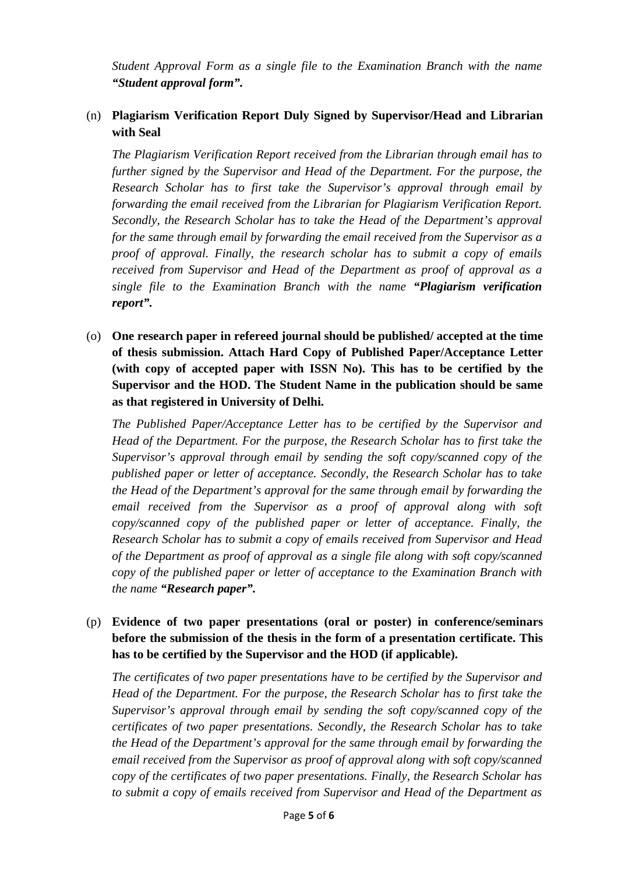*Student Approval Form as a single file to the Examination Branch with the name "Student approval form".*

## (n) **Plagiarism Verification Report Duly Signed by Supervisor/Head and Librarian with Seal**

*The Plagiarism Verification Report received from the Librarian through email has to further signed by the Supervisor and Head of the Department. For the purpose, the Research Scholar has to first take the Supervisor's approval through email by forwarding the email received from the Librarian for Plagiarism Verification Report. Secondly, the Research Scholar has to take the Head of the Department's approval for the same through email by forwarding the email received from the Supervisor as a proof of approval. Finally, the research scholar has to submit a copy of emails received from Supervisor and Head of the Department as proof of approval as a single file to the Examination Branch with the name "Plagiarism verification report".*

(o) **One research paper in refereed journal should be published/ accepted at the time of thesis submission. Attach Hard Copy of Published Paper/Acceptance Letter (with copy of accepted paper with ISSN No). This has to be certified by the Supervisor and the HOD. The Student Name in the publication should be same as that registered in University of Delhi.** 

*The Published Paper/Acceptance Letter has to be certified by the Supervisor and Head of the Department. For the purpose, the Research Scholar has to first take the Supervisor's approval through email by sending the soft copy/scanned copy of the published paper or letter of acceptance. Secondly, the Research Scholar has to take the Head of the Department's approval for the same through email by forwarding the email received from the Supervisor as a proof of approval along with soft copy/scanned copy of the published paper or letter of acceptance. Finally, the Research Scholar has to submit a copy of emails received from Supervisor and Head of the Department as proof of approval as a single file along with soft copy/scanned copy of the published paper or letter of acceptance to the Examination Branch with the name "Research paper".*

(p) **Evidence of two paper presentations (oral or poster) in conference/seminars before the submission of the thesis in the form of a presentation certificate. This has to be certified by the Supervisor and the HOD (if applicable).** 

*The certificates of two paper presentations have to be certified by the Supervisor and Head of the Department. For the purpose, the Research Scholar has to first take the Supervisor's approval through email by sending the soft copy/scanned copy of the certificates of two paper presentations. Secondly, the Research Scholar has to take the Head of the Department's approval for the same through email by forwarding the email received from the Supervisor as proof of approval along with soft copy/scanned copy of the certificates of two paper presentations. Finally, the Research Scholar has to submit a copy of emails received from Supervisor and Head of the Department as*